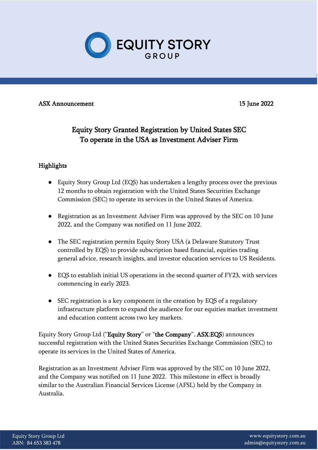

ASX Announcement 15 June 2022

## Equity Story Granted Registration by United States SEC To operate in the USA as Investment Adviser Firm

## Highlights

- Equity Story Group Ltd (EQS) has undertaken a lengthy process over the previous 12 months to obtain registration with the United States Securities Exchange Commission (SEC) to operate its services in the United States of America.
- Registration as an Investment Adviser Firm was approved by the SEC on 10 June 2022, and the Company was notified on 11 June 2022.
- The SEC registration permits Equity Story USA (a Delaware Statutory Trust controlled by EQS) to provide subscription based financial, equities trading general advice, research insights, and investor education services to US Residents.
- EQS to establish initial US operations in the second quarter of FY23, with services commencing in early 2023.
- SEC registration is a key component in the creation by EQS of a regulatory infrastructure platform to expand the audience for our equities market investment and education content across two key markets.

Equity Story Group Ltd ("Equity Story" or "the Company", ASX:EQS) announces successful registration with the United States Securities Exchange Commission (SEC) to operate its services in the United States of America.

Registration as an Investment Adviser Firm was approved by the SEC on 10 June 2022, and the Company was notified on 11 June 2022. This milestone in effect is broadly similar to the Australian Financial Services License (AFSL) held by the Company in Australia.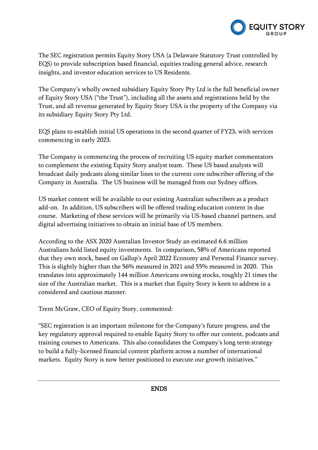

The SEC registration permits Equity Story USA (a Delaware Statutory Trust controlled by EQS) to provide subscription based financial, equities trading general advice, research insights, and investor education services to US Residents.

The Company's wholly owned subsidiary Equity Story Pty Ltd is the full beneficial owner of Equity Story USA ("the Trust"), including all the assets and registrations held by the Trust, and all revenue generated by Equity Story USA is the property of the Company via its subsidiary Equity Story Pty Ltd.

EQS plans to establish initial US operations in the second quarter of FY23, with services commencing in early 2023.

The Company is commencing the process of recruiting US equity market commentators to complement the existing Equity Story analyst team. These US based analysts will broadcast daily podcasts along similar lines to the current core subscriber offering of the Company in Australia. The US business will be managed from our Sydney offices.

US market content will be available to our existing Australian subscribers as a product add-on. In addition, US subscribers will be offered trading education content in due course. Marketing of these services will be primarily via US-based channel partners, and digital advertising initiatives to obtain an initial base of US members.

According to the ASX 2020 Australian Investor Study an estimated 6.6 million Australians hold listed equity investments. In comparison, 58% of Americans reported that they own stock, based on Gallup's April 2022 Economy and Personal Finance survey. This is slightly higher than the 56% measured in 2021 and 55% measured in 2020. This translates into approximately 144 million Americans owning stocks, roughly 21 times the size of the Australian market. This is a market that Equity Story is keen to address in a considered and cautious manner.

Trent McGraw, CEO of Equity Story, commented:

"SEC registration is an important milestone for the Company's future progress, and the key regulatory approval required to enable Equity Story to offer our content, podcasts and training courses to Americans. This also consolidates the Company's long term strategy to build a fully-licensed financial content platform across a number of international markets. Equity Story is now better positioned to execute our growth initiatives."